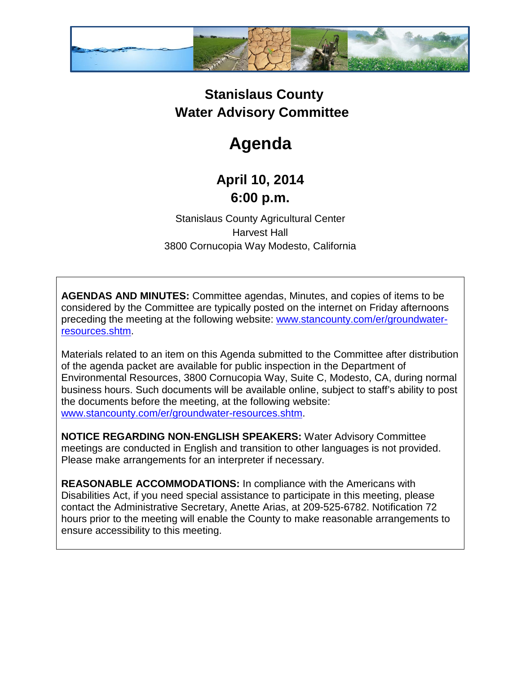

## **Stanislaus County Water Advisory Committee**

## **Agenda**

## **April 10, 2014 6:00 p.m.**

Stanislaus County Agricultural Center Harvest Hall 3800 Cornucopia Way Modesto, California

**AGENDAS AND MINUTES:** Committee agendas, Minutes, and copies of items to be considered by the Committee are typically posted on the internet on Friday afternoons preceding the meeting at the following website: [www.stancounty.com/er/groundwater](http://www.stancounty.com/er/groundwater-resources.shtm)[resources.shtm.](http://www.stancounty.com/er/groundwater-resources.shtm)

Materials related to an item on this Agenda submitted to the Committee after distribution of the agenda packet are available for public inspection in the Department of Environmental Resources, 3800 Cornucopia Way, Suite C, Modesto, CA, during normal business hours. Such documents will be available online, subject to staff's ability to post the documents before the meeting, at the following website: [www.stancounty.com/er/groundwater-resources.shtm.](http://www.stancounty.com/er/groundwater-resources.shtm)

**NOTICE REGARDING NON-ENGLISH SPEAKERS:** Water Advisory Committee meetings are conducted in English and transition to other languages is not provided. Please make arrangements for an interpreter if necessary.

**REASONABLE ACCOMMODATIONS:** In compliance with the Americans with Disabilities Act, if you need special assistance to participate in this meeting, please contact the Administrative Secretary, Anette Arias, at 209-525-6782. Notification 72 hours prior to the meeting will enable the County to make reasonable arrangements to ensure accessibility to this meeting.